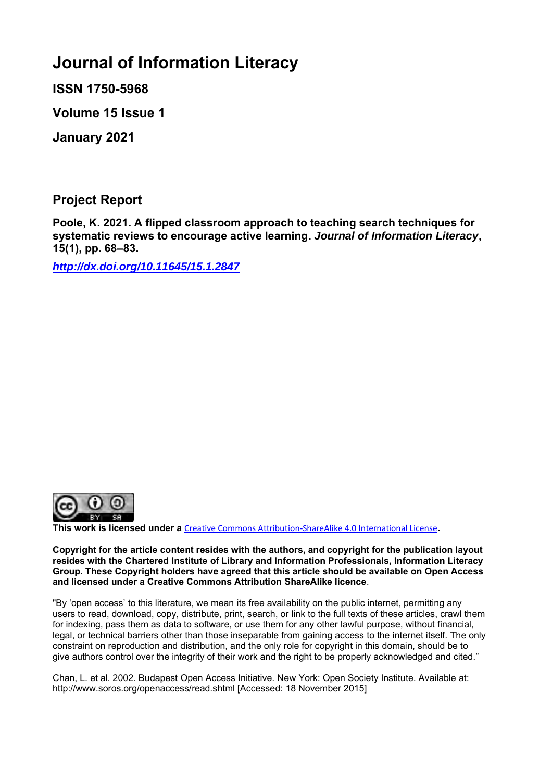# **Journal of Information Literacy**

**ISSN 1750-5968**

**Volume 15 Issue 1**

**January 2021**

**Project Report**

**Poole, K. 2021. A flipped classroom approach to teaching search techniques for systematic reviews to encourage active learning.** *Journal of Information Literacy***, 15(1), pp. 68–83.**

*<http://dx.doi.org/10.11645/15.1.2847>*



**This work is licensed under a** [Creative Commons Attribution-ShareAlike 4.0 International License](http://creativecommons.org/licenses/by-sa/4.0/)**.**

**Copyright for the article content resides with the authors, and copyright for the publication layout resides with the Chartered Institute of Library and Information Professionals, Information Literacy Group. These Copyright holders have agreed that this article should be available on Open Access and licensed under a Creative Commons Attribution ShareAlike licence**.

"By 'open access' to this literature, we mean its free availability on the public internet, permitting any users to read, download, copy, distribute, print, search, or link to the full texts of these articles, crawl them for indexing, pass them as data to software, or use them for any other lawful purpose, without financial, legal, or technical barriers other than those inseparable from gaining access to the internet itself. The only constraint on reproduction and distribution, and the only role for copyright in this domain, should be to give authors control over the integrity of their work and the right to be properly acknowledged and cited."

Chan, L. et al. 2002. Budapest Open Access Initiative. New York: Open Society Institute. Available at: http://www.soros.org/openaccess/read.shtml [Accessed: 18 November 2015]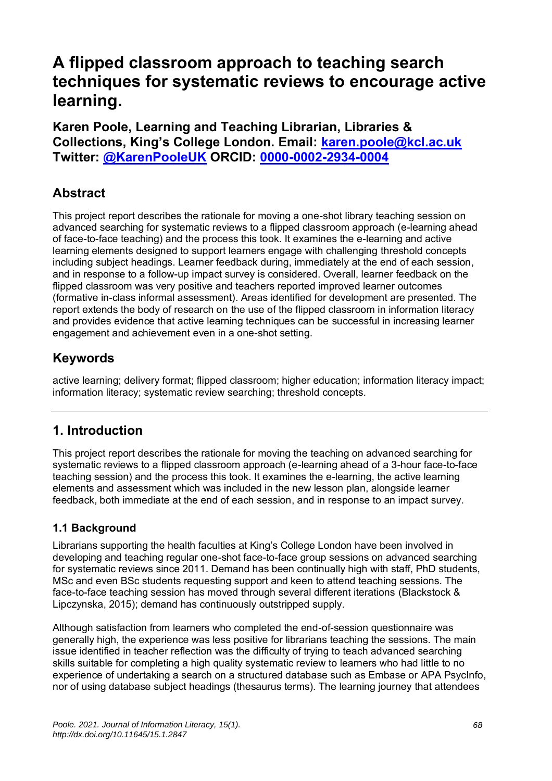# **A flipped classroom approach to teaching search techniques for systematic reviews to encourage active learning.**

**Karen Poole, Learning and Teaching Librarian, Libraries & Collections, King's College London. Email: [karen.poole@kcl.ac.uk](mailto:karen.poole@kcl.ac.uk) Twitter: [@KarenPooleUK](https://twitter.com/KarenPooleUK) ORCID: [0000-0002-2934-0004](https://orcid.org/0000-0002-2934-0004)**

# **Abstract**

This project report describes the rationale for moving a one-shot library teaching session on advanced searching for systematic reviews to a flipped classroom approach (e-learning ahead of face-to-face teaching) and the process this took. It examines the e-learning and active learning elements designed to support learners engage with challenging threshold concepts including subject headings. Learner feedback during, immediately at the end of each session, and in response to a follow-up impact survey is considered. Overall, learner feedback on the flipped classroom was very positive and teachers reported improved learner outcomes (formative in-class informal assessment). Areas identified for development are presented. The report extends the body of research on the use of the flipped classroom in information literacy and provides evidence that active learning techniques can be successful in increasing learner engagement and achievement even in a one-shot setting.

# **Keywords**

active learning; delivery format; flipped classroom; higher education; information literacy impact; information literacy; systematic review searching; threshold concepts.

### **1. Introduction**

This project report describes the rationale for moving the teaching on advanced searching for systematic reviews to a flipped classroom approach (e-learning ahead of a 3-hour face-to-face teaching session) and the process this took. It examines the e-learning, the active learning elements and assessment which was included in the new lesson plan, alongside learner feedback, both immediate at the end of each session, and in response to an impact survey.

### **1.1 Background**

Librarians supporting the health faculties at King's College London have been involved in developing and teaching regular one-shot face-to-face group sessions on advanced searching for systematic reviews since 2011. Demand has been continually high with staff, PhD students, MSc and even BSc students requesting support and keen to attend teaching sessions. The face-to-face teaching session has moved through several different iterations (Blackstock & Lipczynska, 2015); demand has continuously outstripped supply.

Although satisfaction from learners who completed the end-of-session questionnaire was generally high, the experience was less positive for librarians teaching the sessions. The main issue identified in teacher reflection was the difficulty of trying to teach advanced searching skills suitable for completing a high quality systematic review to learners who had little to no experience of undertaking a search on a structured database such as Embase or APA PsycInfo, nor of using database subject headings (thesaurus terms). The learning journey that attendees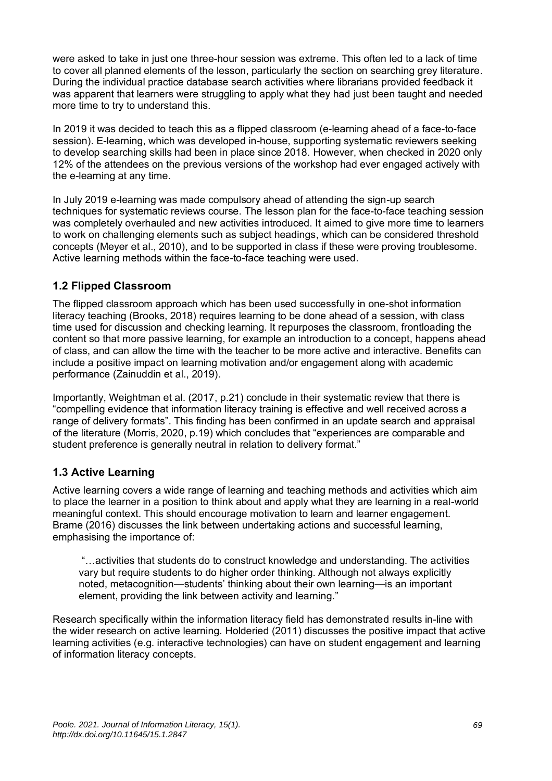were asked to take in just one three-hour session was extreme. This often led to a lack of time to cover all planned elements of the lesson, particularly the section on searching grey literature. During the individual practice database search activities where librarians provided feedback it was apparent that learners were struggling to apply what they had just been taught and needed more time to try to understand this.

In 2019 it was decided to teach this as a flipped classroom (e-learning ahead of a face-to-face session). E-learning, which was developed in-house, supporting systematic reviewers seeking to develop searching skills had been in place since 2018. However, when checked in 2020 only 12% of the attendees on the previous versions of the workshop had ever engaged actively with the e-learning at any time.

In July 2019 e-learning was made compulsory ahead of attending the sign-up search techniques for systematic reviews course. The lesson plan for the face-to-face teaching session was completely overhauled and new activities introduced. It aimed to give more time to learners to work on challenging elements such as subject headings, which can be considered threshold concepts (Meyer et al., 2010), and to be supported in class if these were proving troublesome. Active learning methods within the face-to-face teaching were used.

#### **1.2 Flipped Classroom**

The flipped classroom approach which has been used successfully in one-shot information literacy teaching (Brooks, 2018) requires learning to be done ahead of a session, with class time used for discussion and checking learning. It repurposes the classroom, frontloading the content so that more passive learning, for example an introduction to a concept, happens ahead of class, and can allow the time with the teacher to be more active and interactive. Benefits can include a positive impact on learning motivation and/or engagement along with academic performance (Zainuddin et al., 2019).

Importantly, Weightman et al. (2017, p.21) conclude in their systematic review that there is "compelling evidence that information literacy training is effective and well received across a range of delivery formats". This finding has been confirmed in an update search and appraisal of the literature (Morris, 2020, p.19) which concludes that "experiences are comparable and student preference is generally neutral in relation to delivery format."

#### **1.3 Active Learning**

Active learning covers a wide range of learning and teaching methods and activities which aim to place the learner in a position to think about and apply what they are learning in a real-world meaningful context. This should encourage motivation to learn and learner engagement. Brame (2016) discusses the link between undertaking actions and successful learning, emphasising the importance of:

"…activities that students do to construct knowledge and understanding. The activities vary but require students to do higher order thinking. Although not always explicitly noted, metacognition—students' thinking about their own learning—is an important element, providing the link between activity and learning."

Research specifically within the information literacy field has demonstrated results in-line with the wider research on active learning. Holderied (2011) discusses the positive impact that active learning activities (e.g. interactive technologies) can have on student engagement and learning of information literacy concepts.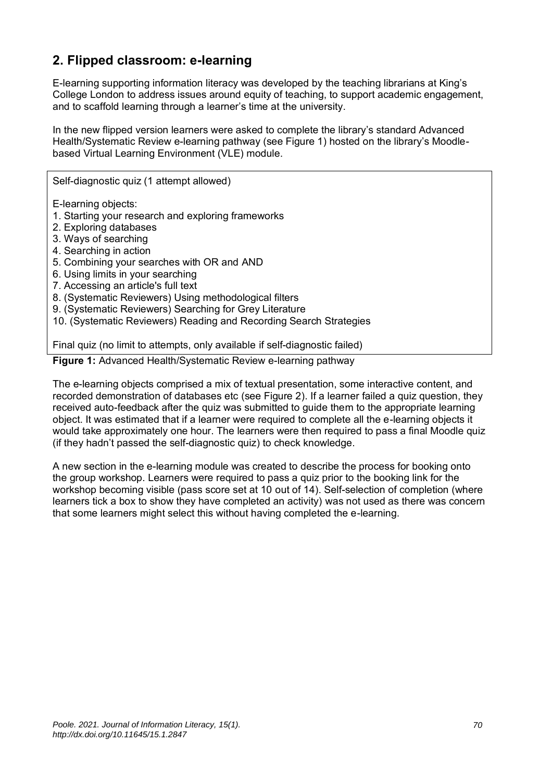# **2. Flipped classroom: e-learning**

E-learning supporting information literacy was developed by the teaching librarians at King's College London to address issues around equity of teaching, to support academic engagement, and to scaffold learning through a learner's time at the university.

In the new flipped version learners were asked to complete the library's standard Advanced Health/Systematic Review e-learning pathway (see Figure 1) hosted on the library's Moodlebased Virtual Learning Environment (VLE) module.

E-learning objects:

- 1. Starting your research and exploring frameworks
- 2. Exploring databases
- 3. Ways of searching
- 4. Searching in action
- 5. Combining your searches with OR and AND

Self-diagnostic quiz (1 attempt allowed)

- 6. Using limits in your searching
- 7. Accessing an article's full text
- 8. (Systematic Reviewers) Using methodological filters
- 9. (Systematic Reviewers) Searching for Grey Literature
- 10. (Systematic Reviewers) Reading and Recording Search Strategies

Final quiz (no limit to attempts, only available if self-diagnostic failed)

**Figure 1:** Advanced Health/Systematic Review e-learning pathway

The e-learning objects comprised a mix of textual presentation, some interactive content, and recorded demonstration of databases etc (see Figure 2). If a learner failed a quiz question, they received auto-feedback after the quiz was submitted to guide them to the appropriate learning object. It was estimated that if a learner were required to complete all the e-learning objects it would take approximately one hour. The learners were then required to pass a final Moodle quiz (if they hadn't passed the self-diagnostic quiz) to check knowledge.

A new section in the e-learning module was created to describe the process for booking onto the group workshop. Learners were required to pass a quiz prior to the booking link for the workshop becoming visible (pass score set at 10 out of 14). Self-selection of completion (where learners tick a box to show they have completed an activity) was not used as there was concern that some learners might select this without having completed the e-learning.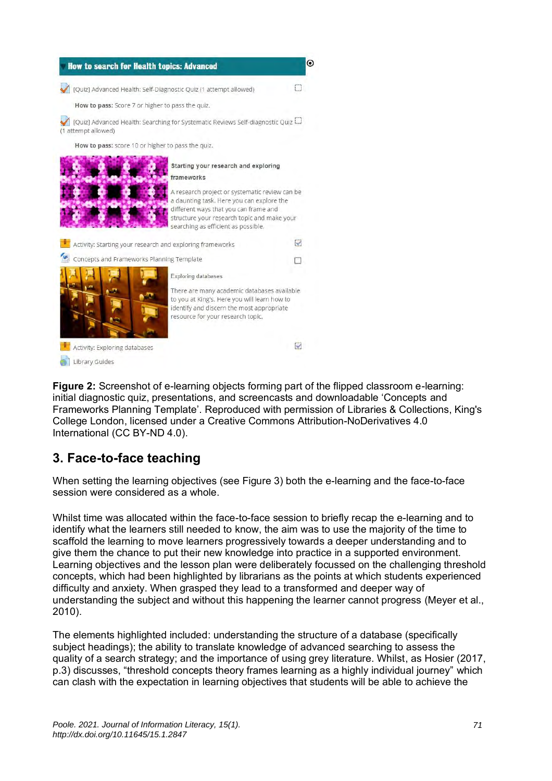

**Figure 2:** Screenshot of e-learning objects forming part of the flipped classroom e-learning: initial diagnostic quiz, presentations, and screencasts and downloadable 'Concepts and Frameworks Planning Template'. Reproduced with permission of Libraries & Collections, King's College London, licensed under a Creative Commons Attribution-NoDerivatives 4.0 International (CC BY-ND 4.0).

# **3. Face-to-face teaching**

When setting the learning objectives (see Figure 3) both the e-learning and the face-to-face session were considered as a whole.

Whilst time was allocated within the face-to-face session to briefly recap the e-learning and to identify what the learners still needed to know, the aim was to use the majority of the time to scaffold the learning to move learners progressively towards a deeper understanding and to give them the chance to put their new knowledge into practice in a supported environment. Learning objectives and the lesson plan were deliberately focussed on the challenging threshold concepts, which had been highlighted by librarians as the points at which students experienced difficulty and anxiety. When grasped they lead to a transformed and deeper way of understanding the subject and without this happening the learner cannot progress (Meyer et al., 2010).

The elements highlighted included: understanding the structure of a database (specifically subject headings); the ability to translate knowledge of advanced searching to assess the quality of a search strategy; and the importance of using grey literature. Whilst, as Hosier (2017, p.3) discusses, "threshold concepts theory frames learning as a highly individual journey" which can clash with the expectation in learning objectives that students will be able to achieve the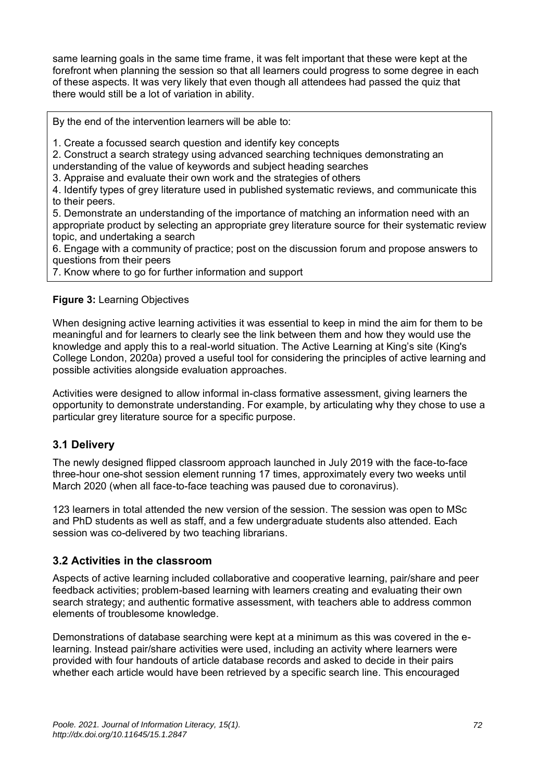same learning goals in the same time frame, it was felt important that these were kept at the forefront when planning the session so that all learners could progress to some degree in each of these aspects. It was very likely that even though all attendees had passed the quiz that there would still be a lot of variation in ability.

By the end of the intervention learners will be able to:

1. Create a focussed search question and identify key concepts

2. Construct a search strategy using advanced searching techniques demonstrating an understanding of the value of keywords and subject heading searches

3. Appraise and evaluate their own work and the strategies of others

4. Identify types of grey literature used in published systematic reviews, and communicate this to their peers.

5. Demonstrate an understanding of the importance of matching an information need with an appropriate product by selecting an appropriate grey literature source for their systematic review topic, and undertaking a search

6. Engage with a community of practice; post on the discussion forum and propose answers to questions from their peers

7. Know where to go for further information and support

#### **Figure 3:** Learning Objectives

When designing active learning activities it was essential to keep in mind the aim for them to be meaningful and for learners to clearly see the link between them and how they would use the knowledge and apply this to a real-world situation. The Active Learning at King's site (King's College London, 2020a) proved a useful tool for considering the principles of active learning and possible activities alongside evaluation approaches.

Activities were designed to allow informal in-class formative assessment, giving learners the opportunity to demonstrate understanding. For example, by articulating why they chose to use a particular grey literature source for a specific purpose.

#### **3.1 Delivery**

The newly designed flipped classroom approach launched in July 2019 with the face-to-face three-hour one-shot session element running 17 times, approximately every two weeks until March 2020 (when all face-to-face teaching was paused due to coronavirus).

123 learners in total attended the new version of the session. The session was open to MSc and PhD students as well as staff, and a few undergraduate students also attended. Each session was co-delivered by two teaching librarians.

#### **3.2 Activities in the classroom**

Aspects of active learning included collaborative and cooperative learning, pair/share and peer feedback activities; problem-based learning with learners creating and evaluating their own search strategy; and authentic formative assessment, with teachers able to address common elements of troublesome knowledge.

Demonstrations of database searching were kept at a minimum as this was covered in the elearning. Instead pair/share activities were used, including an activity where learners were provided with four handouts of article database records and asked to decide in their pairs whether each article would have been retrieved by a specific search line. This encouraged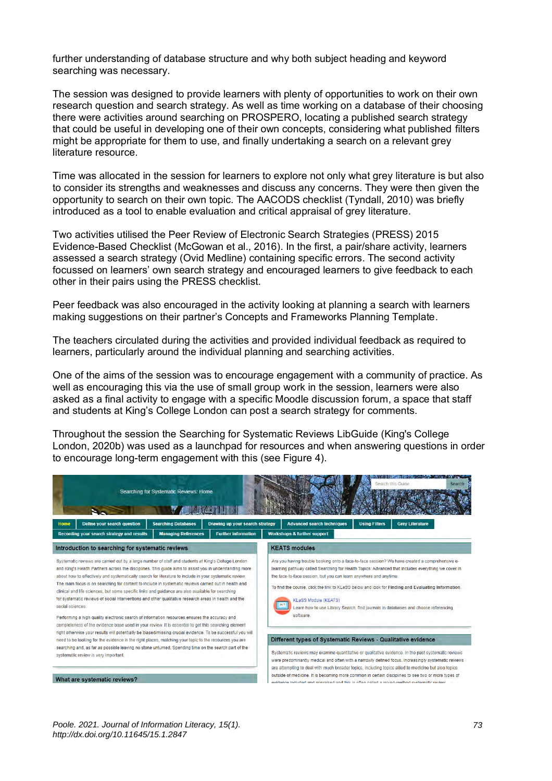further understanding of database structure and why both subject heading and keyword searching was necessary.

The session was designed to provide learners with plenty of opportunities to work on their own research question and search strategy. As well as time working on a database of their choosing there were activities around searching on PROSPERO, locating a published search strategy that could be useful in developing one of their own concepts, considering what published filters might be appropriate for them to use, and finally undertaking a search on a relevant grey literature resource.

Time was allocated in the session for learners to explore not only what grey literature is but also to consider its strengths and weaknesses and discuss any concerns. They were then given the opportunity to search on their own topic. The AACODS checklist (Tyndall, 2010) was briefly introduced as a tool to enable evaluation and critical appraisal of grey literature.

Two activities utilised the Peer Review of Electronic Search Strategies (PRESS) 2015 Evidence-Based Checklist (McGowan et al., 2016). In the first, a pair/share activity, learners assessed a search strategy (Ovid Medline) containing specific errors. The second activity focussed on learners' own search strategy and encouraged learners to give feedback to each other in their pairs using the PRESS checklist.

Peer feedback was also encouraged in the activity looking at planning a search with learners making suggestions on their partner's Concepts and Frameworks Planning Template.

The teachers circulated during the activities and provided individual feedback as required to learners, particularly around the individual planning and searching activities.

One of the aims of the session was to encourage engagement with a community of practice. As well as encouraging this via the use of small group work in the session, learners were also asked as a final activity to engage with a specific Moodle discussion forum, a space that staff and students at King's College London can post a search strategy for comments.

Throughout the session the Searching for Systematic Reviews LibGuide (King's College London, 2020b) was used as a launchpad for resources and when answering questions in order to encourage long-term engagement with this (see Figure 4).

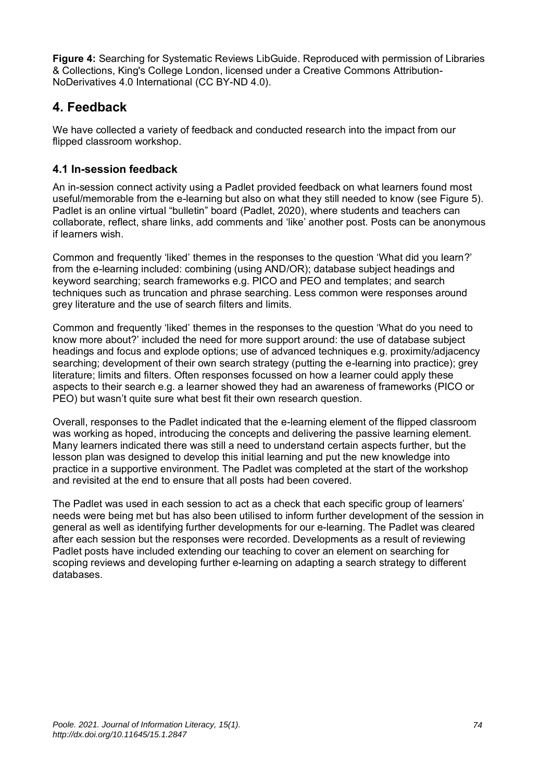**Figure 4:** Searching for Systematic Reviews LibGuide. Reproduced with permission of Libraries & Collections, King's College London, licensed under a Creative Commons Attribution-NoDerivatives 4.0 International (CC BY-ND 4.0).

## **4. Feedback**

We have collected a variety of feedback and conducted research into the impact from our flipped classroom workshop.

#### **4.1 In-session feedback**

An in-session connect activity using a Padlet provided feedback on what learners found most useful/memorable from the e-learning but also on what they still needed to know (see Figure 5). Padlet is an online virtual "bulletin" board (Padlet, 2020), where students and teachers can collaborate, reflect, share links, add comments and 'like' another post. Posts can be anonymous if learners wish.

Common and frequently 'liked' themes in the responses to the question 'What did you learn?' from the e-learning included: combining (using AND/OR); database subject headings and keyword searching; search frameworks e.g. PICO and PEO and templates; and search techniques such as truncation and phrase searching. Less common were responses around grey literature and the use of search filters and limits.

Common and frequently 'liked' themes in the responses to the question 'What do you need to know more about?' included the need for more support around: the use of database subject headings and focus and explode options; use of advanced techniques e.g. proximity/adjacency searching; development of their own search strategy (putting the e-learning into practice); grey literature; limits and filters. Often responses focussed on how a learner could apply these aspects to their search e.g. a learner showed they had an awareness of frameworks (PICO or PEO) but wasn't quite sure what best fit their own research question.

Overall, responses to the Padlet indicated that the e-learning element of the flipped classroom was working as hoped, introducing the concepts and delivering the passive learning element. Many learners indicated there was still a need to understand certain aspects further, but the lesson plan was designed to develop this initial learning and put the new knowledge into practice in a supportive environment. The Padlet was completed at the start of the workshop and revisited at the end to ensure that all posts had been covered.

The Padlet was used in each session to act as a check that each specific group of learners' needs were being met but has also been utilised to inform further development of the session in general as well as identifying further developments for our e-learning. The Padlet was cleared after each session but the responses were recorded. Developments as a result of reviewing Padlet posts have included extending our teaching to cover an element on searching for scoping reviews and developing further e-learning on adapting a search strategy to different databases.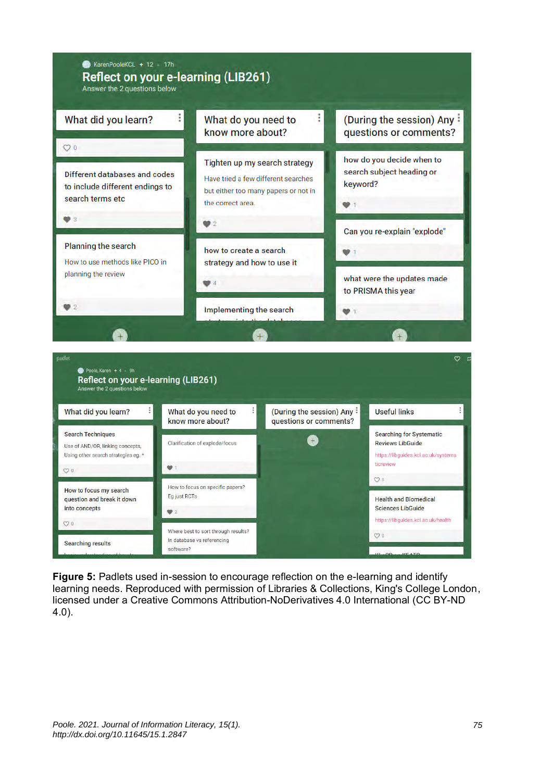

**Figure 5:** Padlets used in-session to encourage reflection on the e-learning and identify learning needs. Reproduced with permission of Libraries & Collections, King's College London, licensed under a Creative Commons Attribution-NoDerivatives 4.0 International (CC BY-ND 4.0).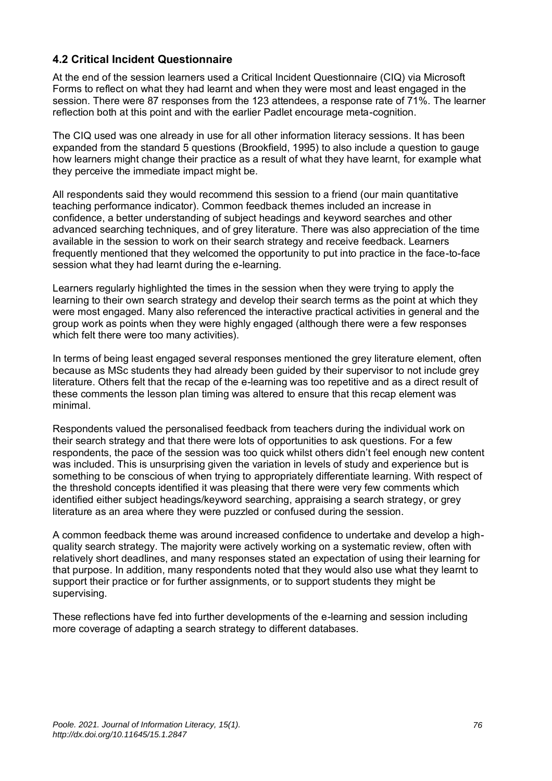#### **4.2 Critical Incident Questionnaire**

At the end of the session learners used a Critical Incident Questionnaire (CIQ) via Microsoft Forms to reflect on what they had learnt and when they were most and least engaged in the session. There were 87 responses from the 123 attendees, a response rate of 71%. The learner reflection both at this point and with the earlier Padlet encourage meta-cognition.

The CIQ used was one already in use for all other information literacy sessions. It has been expanded from the standard 5 questions (Brookfield, 1995) to also include a question to gauge how learners might change their practice as a result of what they have learnt, for example what they perceive the immediate impact might be.

All respondents said they would recommend this session to a friend (our main quantitative teaching performance indicator). Common feedback themes included an increase in confidence, a better understanding of subject headings and keyword searches and other advanced searching techniques, and of grey literature. There was also appreciation of the time available in the session to work on their search strategy and receive feedback. Learners frequently mentioned that they welcomed the opportunity to put into practice in the face-to-face session what they had learnt during the e-learning.

Learners regularly highlighted the times in the session when they were trying to apply the learning to their own search strategy and develop their search terms as the point at which they were most engaged. Many also referenced the interactive practical activities in general and the group work as points when they were highly engaged (although there were a few responses which felt there were too many activities).

In terms of being least engaged several responses mentioned the grey literature element, often because as MSc students they had already been guided by their supervisor to not include grey literature. Others felt that the recap of the e-learning was too repetitive and as a direct result of these comments the lesson plan timing was altered to ensure that this recap element was minimal.

Respondents valued the personalised feedback from teachers during the individual work on their search strategy and that there were lots of opportunities to ask questions. For a few respondents, the pace of the session was too quick whilst others didn't feel enough new content was included. This is unsurprising given the variation in levels of study and experience but is something to be conscious of when trying to appropriately differentiate learning. With respect of the threshold concepts identified it was pleasing that there were very few comments which identified either subject headings/keyword searching, appraising a search strategy, or grey literature as an area where they were puzzled or confused during the session.

A common feedback theme was around increased confidence to undertake and develop a highquality search strategy. The majority were actively working on a systematic review, often with relatively short deadlines, and many responses stated an expectation of using their learning for that purpose. In addition, many respondents noted that they would also use what they learnt to support their practice or for further assignments, or to support students they might be supervising.

These reflections have fed into further developments of the e-learning and session including more coverage of adapting a search strategy to different databases.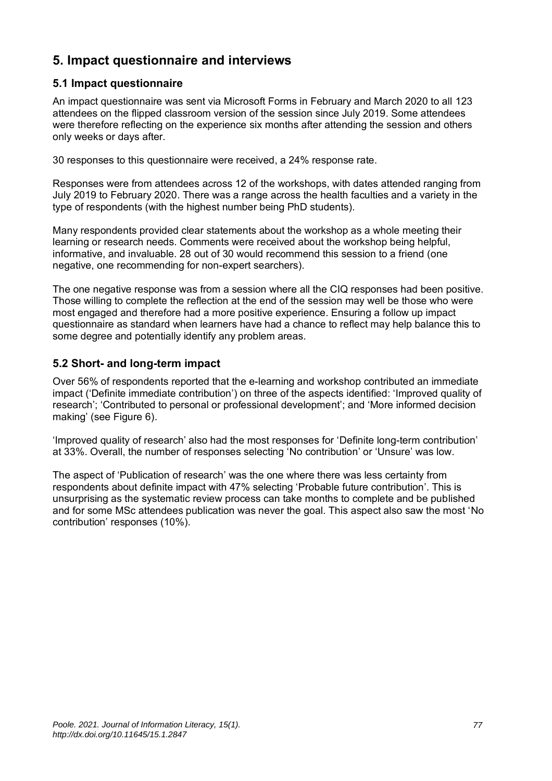## **5. Impact questionnaire and interviews**

#### **5.1 Impact questionnaire**

An impact questionnaire was sent via Microsoft Forms in February and March 2020 to all 123 attendees on the flipped classroom version of the session since July 2019. Some attendees were therefore reflecting on the experience six months after attending the session and others only weeks or days after.

30 responses to this questionnaire were received, a 24% response rate.

Responses were from attendees across 12 of the workshops, with dates attended ranging from July 2019 to February 2020. There was a range across the health faculties and a variety in the type of respondents (with the highest number being PhD students).

Many respondents provided clear statements about the workshop as a whole meeting their learning or research needs. Comments were received about the workshop being helpful, informative, and invaluable. 28 out of 30 would recommend this session to a friend (one negative, one recommending for non-expert searchers).

The one negative response was from a session where all the CIQ responses had been positive. Those willing to complete the reflection at the end of the session may well be those who were most engaged and therefore had a more positive experience. Ensuring a follow up impact questionnaire as standard when learners have had a chance to reflect may help balance this to some degree and potentially identify any problem areas.

#### **5.2 Short- and long-term impact**

Over 56% of respondents reported that the e-learning and workshop contributed an immediate impact ('Definite immediate contribution') on three of the aspects identified: 'Improved quality of research'; 'Contributed to personal or professional development'; and 'More informed decision making' (see Figure 6).

'Improved quality of research' also had the most responses for 'Definite long-term contribution' at 33%. Overall, the number of responses selecting 'No contribution' or 'Unsure' was low.

The aspect of 'Publication of research' was the one where there was less certainty from respondents about definite impact with 47% selecting 'Probable future contribution'. This is unsurprising as the systematic review process can take months to complete and be published and for some MSc attendees publication was never the goal. This aspect also saw the most 'No contribution' responses (10%).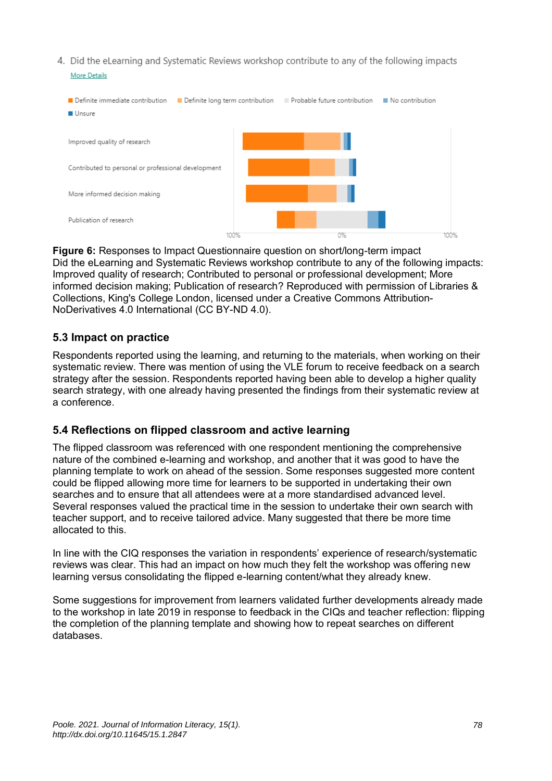4. Did the eLearning and Systematic Reviews workshop contribute to any of the following impacts **More Details** 



**Figure 6:** Responses to Impact Questionnaire question on short/long-term impact Did the eLearning and Systematic Reviews workshop contribute to any of the following impacts: Improved quality of research; Contributed to personal or professional development; More informed decision making; Publication of research? Reproduced with permission of Libraries & Collections, King's College London, licensed under a Creative Commons Attribution-NoDerivatives 4.0 International (CC BY-ND 4.0).

#### **5.3 Impact on practice**

Respondents reported using the learning, and returning to the materials, when working on their systematic review. There was mention of using the VLE forum to receive feedback on a search strategy after the session. Respondents reported having been able to develop a higher quality search strategy, with one already having presented the findings from their systematic review at a conference.

#### **5.4 Reflections on flipped classroom and active learning**

The flipped classroom was referenced with one respondent mentioning the comprehensive nature of the combined e-learning and workshop, and another that it was good to have the planning template to work on ahead of the session. Some responses suggested more content could be flipped allowing more time for learners to be supported in undertaking their own searches and to ensure that all attendees were at a more standardised advanced level. Several responses valued the practical time in the session to undertake their own search with teacher support, and to receive tailored advice. Many suggested that there be more time allocated to this.

In line with the CIQ responses the variation in respondents' experience of research/systematic reviews was clear. This had an impact on how much they felt the workshop was offering new learning versus consolidating the flipped e-learning content/what they already knew.

Some suggestions for improvement from learners validated further developments already made to the workshop in late 2019 in response to feedback in the CIQs and teacher reflection: flipping the completion of the planning template and showing how to repeat searches on different databases.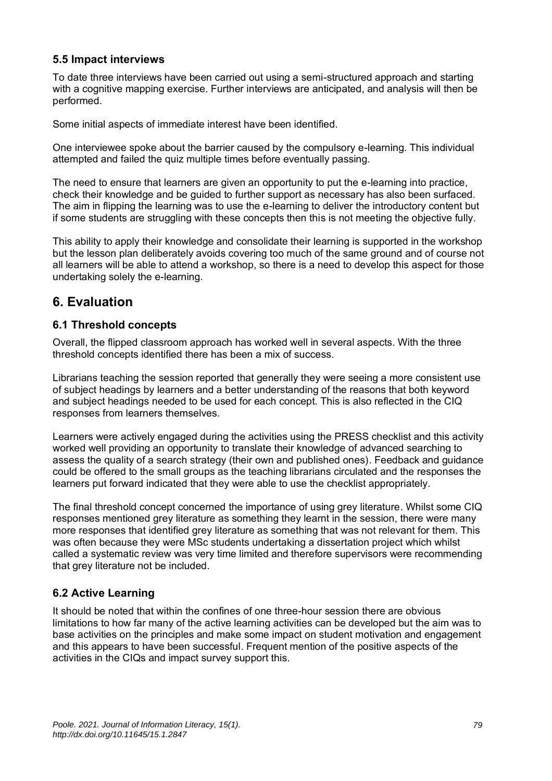#### **5.5 Impact interviews**

To date three interviews have been carried out using a semi-structured approach and starting with a cognitive mapping exercise. Further interviews are anticipated, and analysis will then be performed.

Some initial aspects of immediate interest have been identified.

One interviewee spoke about the barrier caused by the compulsory e-learning. This individual attempted and failed the quiz multiple times before eventually passing.

The need to ensure that learners are given an opportunity to put the e-learning into practice, check their knowledge and be guided to further support as necessary has also been surfaced. The aim in flipping the learning was to use the e-learning to deliver the introductory content but if some students are struggling with these concepts then this is not meeting the objective fully.

This ability to apply their knowledge and consolidate their learning is supported in the workshop but the lesson plan deliberately avoids covering too much of the same ground and of course not all learners will be able to attend a workshop, so there is a need to develop this aspect for those undertaking solely the e-learning.

### **6. Evaluation**

#### **6.1 Threshold concepts**

Overall, the flipped classroom approach has worked well in several aspects. With the three threshold concepts identified there has been a mix of success.

Librarians teaching the session reported that generally they were seeing a more consistent use of subject headings by learners and a better understanding of the reasons that both keyword and subject headings needed to be used for each concept. This is also reflected in the CIQ responses from learners themselves.

Learners were actively engaged during the activities using the PRESS checklist and this activity worked well providing an opportunity to translate their knowledge of advanced searching to assess the quality of a search strategy (their own and published ones). Feedback and guidance could be offered to the small groups as the teaching librarians circulated and the responses the learners put forward indicated that they were able to use the checklist appropriately.

The final threshold concept concerned the importance of using grey literature. Whilst some CIQ responses mentioned grey literature as something they learnt in the session, there were many more responses that identified grey literature as something that was not relevant for them. This was often because they were MSc students undertaking a dissertation project which whilst called a systematic review was very time limited and therefore supervisors were recommending that grey literature not be included.

#### **6.2 Active Learning**

It should be noted that within the confines of one three-hour session there are obvious limitations to how far many of the active learning activities can be developed but the aim was to base activities on the principles and make some impact on student motivation and engagement and this appears to have been successful. Frequent mention of the positive aspects of the activities in the CIQs and impact survey support this.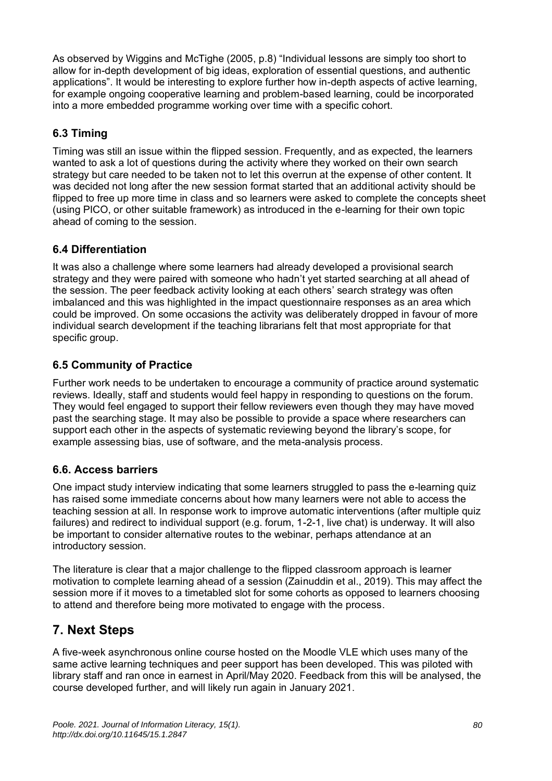As observed by Wiggins and McTighe (2005, p.8) "Individual lessons are simply too short to allow for in-depth development of big ideas, exploration of essential questions, and authentic applications". It would be interesting to explore further how in-depth aspects of active learning, for example ongoing cooperative learning and problem-based learning, could be incorporated into a more embedded programme working over time with a specific cohort.

### **6.3 Timing**

Timing was still an issue within the flipped session. Frequently, and as expected, the learners wanted to ask a lot of questions during the activity where they worked on their own search strategy but care needed to be taken not to let this overrun at the expense of other content. It was decided not long after the new session format started that an additional activity should be flipped to free up more time in class and so learners were asked to complete the concepts sheet (using PICO, or other suitable framework) as introduced in the e-learning for their own topic ahead of coming to the session.

#### **6.4 Differentiation**

It was also a challenge where some learners had already developed a provisional search strategy and they were paired with someone who hadn't yet started searching at all ahead of the session. The peer feedback activity looking at each others' search strategy was often imbalanced and this was highlighted in the impact questionnaire responses as an area which could be improved. On some occasions the activity was deliberately dropped in favour of more individual search development if the teaching librarians felt that most appropriate for that specific group.

#### **6.5 Community of Practice**

Further work needs to be undertaken to encourage a community of practice around systematic reviews. Ideally, staff and students would feel happy in responding to questions on the forum. They would feel engaged to support their fellow reviewers even though they may have moved past the searching stage. It may also be possible to provide a space where researchers can support each other in the aspects of systematic reviewing beyond the library's scope, for example assessing bias, use of software, and the meta-analysis process.

#### **6.6. Access barriers**

One impact study interview indicating that some learners struggled to pass the e-learning quiz has raised some immediate concerns about how many learners were not able to access the teaching session at all. In response work to improve automatic interventions (after multiple quiz failures) and redirect to individual support (e.g. forum, 1-2-1, live chat) is underway. It will also be important to consider alternative routes to the webinar, perhaps attendance at an introductory session.

The literature is clear that a major challenge to the flipped classroom approach is learner motivation to complete learning ahead of a session (Zainuddin et al., 2019). This may affect the session more if it moves to a timetabled slot for some cohorts as opposed to learners choosing to attend and therefore being more motivated to engage with the process.

### **7. Next Steps**

A five-week asynchronous online course hosted on the Moodle VLE which uses many of the same active learning techniques and peer support has been developed. This was piloted with library staff and ran once in earnest in April/May 2020. Feedback from this will be analysed, the course developed further, and will likely run again in January 2021.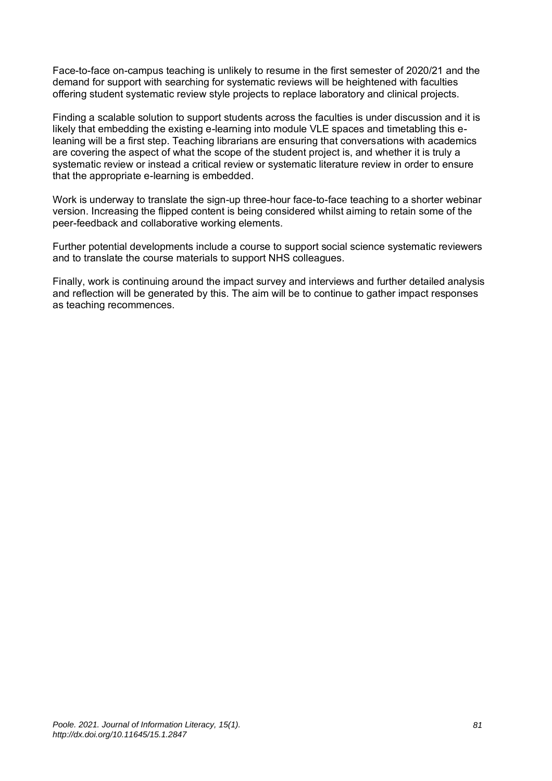Face-to-face on-campus teaching is unlikely to resume in the first semester of 2020/21 and the demand for support with searching for systematic reviews will be heightened with faculties offering student systematic review style projects to replace laboratory and clinical projects.

Finding a scalable solution to support students across the faculties is under discussion and it is likely that embedding the existing e-learning into module VLE spaces and timetabling this eleaning will be a first step. Teaching librarians are ensuring that conversations with academics are covering the aspect of what the scope of the student project is, and whether it is truly a systematic review or instead a critical review or systematic literature review in order to ensure that the appropriate e-learning is embedded.

Work is underway to translate the sign-up three-hour face-to-face teaching to a shorter webinar version. Increasing the flipped content is being considered whilst aiming to retain some of the peer-feedback and collaborative working elements.

Further potential developments include a course to support social science systematic reviewers and to translate the course materials to support NHS colleagues.

Finally, work is continuing around the impact survey and interviews and further detailed analysis and reflection will be generated by this. The aim will be to continue to gather impact responses as teaching recommences.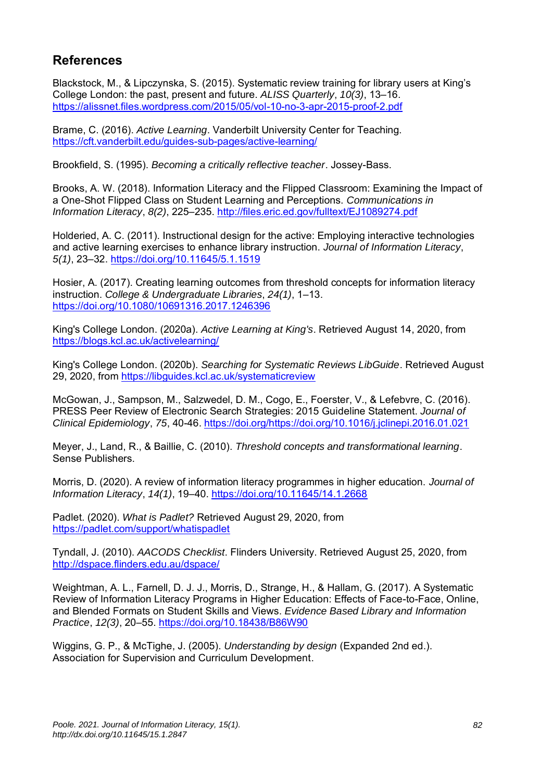# **References**

Blackstock, M., & Lipczynska, S. (2015). Systematic review training for library users at King's College London: the past, present and future. *ALISS Quarterly*, *10(3)*, 13–16. <https://alissnet.files.wordpress.com/2015/05/vol-10-no-3-apr-2015-proof-2.pdf>

Brame, C. (2016). *Active Learning*. Vanderbilt University Center for Teaching. <https://cft.vanderbilt.edu/guides-sub-pages/active-learning/>

Brookfield, S. (1995). *Becoming a critically reflective teacher*. Jossey-Bass.

Brooks, A. W. (2018). Information Literacy and the Flipped Classroom: Examining the Impact of a One-Shot Flipped Class on Student Learning and Perceptions. *Communications in Information Literacy*, *8(2)*, 225–235.<http://files.eric.ed.gov/fulltext/EJ1089274.pdf>

Holderied, A. C. (2011). Instructional design for the active: Employing interactive technologies and active learning exercises to enhance library instruction. *Journal of Information Literacy*, *5(1)*, 23–32.<https://doi.org/10.11645/5.1.1519>

Hosier, A. (2017). Creating learning outcomes from threshold concepts for information literacy instruction. *College & Undergraduate Libraries*, *24(1)*, 1–13. <https://doi.org/10.1080/10691316.2017.1246396>

King's College London. (2020a). *Active Learning at King's*. Retrieved August 14, 2020, from <https://blogs.kcl.ac.uk/activelearning/>

King's College London. (2020b). *Searching for Systematic Reviews LibGuide*. Retrieved August 29, 2020, from<https://libguides.kcl.ac.uk/systematicreview>

McGowan, J., Sampson, M., Salzwedel, D. M., Cogo, E., Foerster, V., & Lefebvre, C. (2016). PRESS Peer Review of Electronic Search Strategies: 2015 Guideline Statement. *Journal of Clinical Epidemiology*, *75*, 40-46. [https://doi.org/https://doi.org/10.1016/j.jclinepi.2016.01.021](https://doi.org/https:/doi.org/10.1016/j.jclinepi.2016.01.021) 

Meyer, J., Land, R., & Baillie, C. (2010). *Threshold concepts and transformational learning*. Sense Publishers.

Morris, D. (2020). A review of information literacy programmes in higher education. *Journal of Information Literacy*, *14(1)*, 19–40.<https://doi.org/10.11645/14.1.2668>

Padlet. (2020). *What is Padlet?* Retrieved August 29, 2020, from <https://padlet.com/support/whatispadlet>

Tyndall, J. (2010). *AACODS Checklist*. Flinders University. Retrieved August 25, 2020, from <http://dspace.flinders.edu.au/dspace/>

Weightman, A. L., Farnell, D. J. J., Morris, D., Strange, H., & Hallam, G. (2017). A Systematic Review of Information Literacy Programs in Higher Education: Effects of Face-to-Face, Online, and Blended Formats on Student Skills and Views. *Evidence Based Library and Information Practice*, *12(3)*, 20–55.<https://doi.org/10.18438/B86W90>

Wiggins, G. P., & McTighe, J. (2005). *Understanding by design* (Expanded 2nd ed.). Association for Supervision and Curriculum Development.